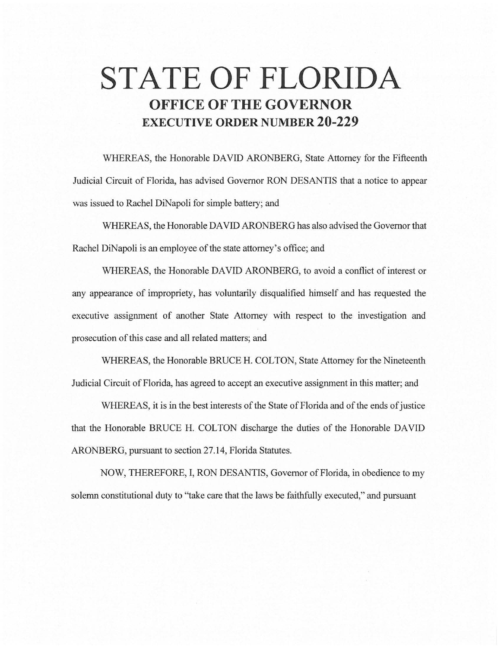# **STATE OF FLORIDA OFFICE OF THE GOVERNOR EXECUTIVE ORDER NUMBER 20-229**

WHEREAS, the Honorable DAVID ARONBERG, State Attorney for the Fifteenth Judicial Circuit of Florida, has advised Governor RON DESANTIS that a notice to appear was issued to Rachel DiNapoli for simple battery; and

WHEREAS, the Honorable DAVID ARONBERG has also advised the Governor that Rachel DiNapoli is an employee of the state attorney's office; and

WHEREAS, the Honorable DAVID ARONBERG, to avoid a conflict of interest or any appearance of impropriety, has voluntarily disqualified himself and has requested the executive assignment of another State Attorney with respect to the investigation and prosecution of this case and all related matters; and

WHEREAS, the Honorable BRUCE H. COLTON, State Attorney for the Nineteenth Judicial Circuit of Florida, has agreed to accept an executive assignment in this matter; and

WHEREAS, it is in the best interests of the State of Florida and of the ends of justice that the Honorable BRUCE H. COLTON discharge the duties of the Honorable DAVID ARONBERG, pursuant to section 27.14, Florida Statutes.

NOW, THEREFORE, I, RON DESANTIS, Governor of Florida, in obedience to my solemn constitutional duty to "take care that the laws be faithfully executed," and pursuant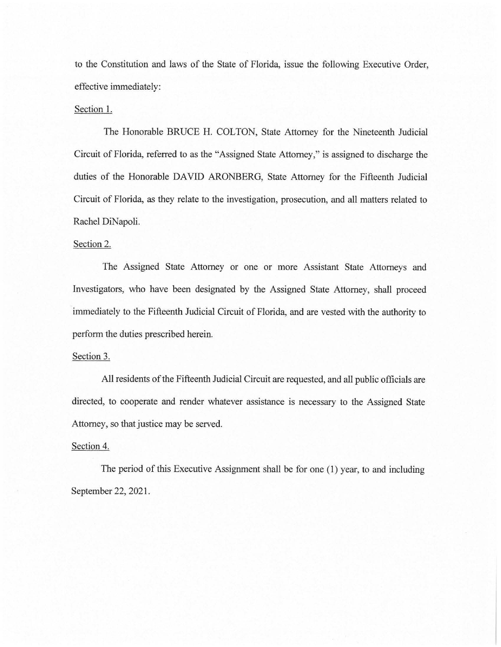to the Constitution and laws of the State of Florida, issue the following Executive Order, effective immediately:

## Section 1.

The Honorable BRUCE H. COLTON, State Attorney for the Nineteenth Judicial Circuit of Florida, referred to as the "Assigned State Attorney," is assigned to discharge the duties of the Honorable DAVID ARONBERG, State Attorney for the Fifteenth Judicial Circuit of Florida, as they relate to the investigation, prosecution, and all matters related to Rachel DiNapoli.

#### Section 2.

The Assigned State Attorney or one or more Assistant State Attorneys and Investigators, who have been designated by the Assigned State Attorney, shall proceed immediately to the Fifteenth Judicial Circuit of Florida, and are vested with the authority to perform the duties prescribed herein.

#### Section 3.

All residents of the Fifteenth Judicial Circuit are requested, and all public officials are directed, to cooperate and render whatever assistance is necessary to the Assigned State Attorney, so that justice may be served.

### Section 4.

The period of this Executive Assignment shall be for one (1) year, to and including September 22, 2021.